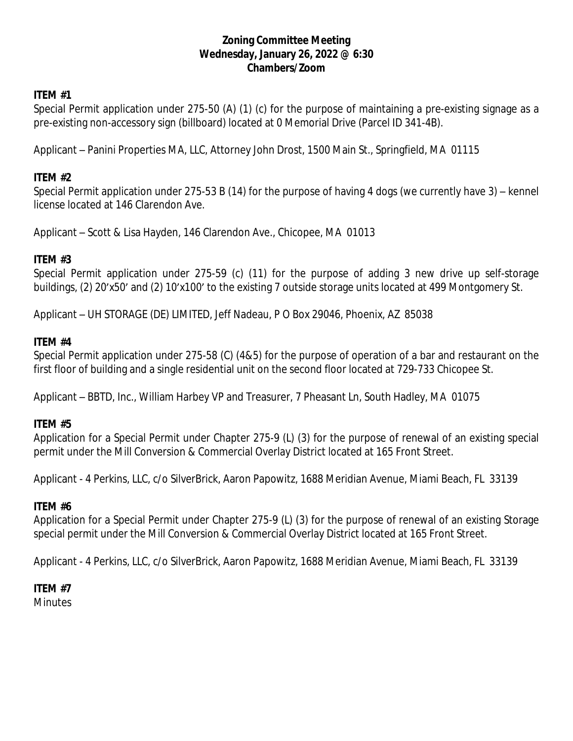## **Zoning Committee Meeting Wednesday, January 26, 2022 @ 6:30 Chambers/Zoom**

# **ITEM #1**

Special Permit application under 275-50 (A) (1) (c) for the purpose of maintaining a pre-existing signage as a pre-existing non-accessory sign (billboard) located at 0 Memorial Drive (Parcel ID 341-4B).

Applicant – Panini Properties MA, LLC, Attorney John Drost, 1500 Main St., Springfield, MA 01115

## **ITEM #2**

Special Permit application under 275-53 B (14) for the purpose of having 4 dogs (we currently have 3) – kennel license located at 146 Clarendon Ave.

Applicant – Scott & Lisa Hayden, 146 Clarendon Ave., Chicopee, MA 01013

# **ITEM #3**

Special Permit application under 275-59 (c) (11) for the purpose of adding 3 new drive up self-storage buildings, (2) 20'x50' and (2) 10'x100' to the existing 7 outside storage units located at 499 Montgomery St.

Applicant – UH STORAGE (DE) LIMITED, Jeff Nadeau, P O Box 29046, Phoenix, AZ 85038

#### **ITEM #4**

Special Permit application under 275-58 (C) (4&5) for the purpose of operation of a bar and restaurant on the first floor of building and a single residential unit on the second floor located at 729-733 Chicopee St.

Applicant – BBTD, Inc., William Harbey VP and Treasurer, 7 Pheasant Ln, South Hadley, MA 01075

#### **ITEM #5**

Application for a Special Permit under Chapter 275-9 (L) (3) for the purpose of renewal of an existing special permit under the Mill Conversion & Commercial Overlay District located at 165 Front Street.

Applicant - 4 Perkins, LLC, c/o SilverBrick, Aaron Papowitz, 1688 Meridian Avenue, Miami Beach, FL 33139

#### **ITEM #6**

Application for a Special Permit under Chapter 275-9 (L) (3) for the purpose of renewal of an existing Storage special permit under the Mill Conversion & Commercial Overlay District located at 165 Front Street.

Applicant - 4 Perkins, LLC, c/o SilverBrick, Aaron Papowitz, 1688 Meridian Avenue, Miami Beach, FL 33139

# **ITEM #7**

**Minutes**